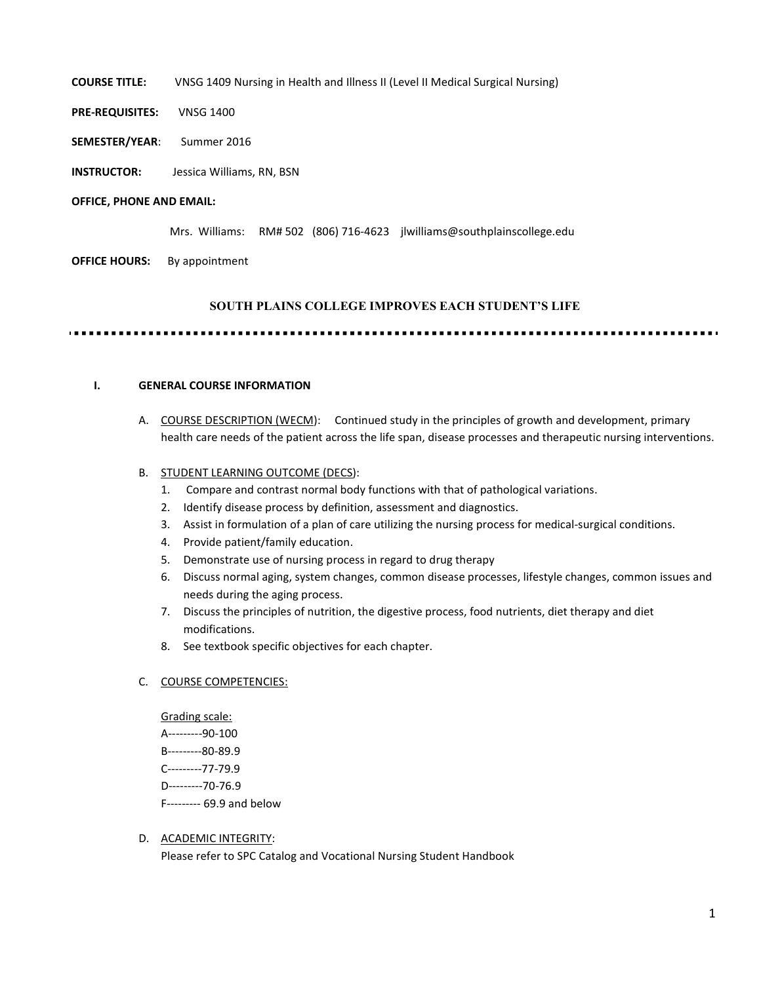COURSE TITLE: VNSG 1409 Nursing in Health and Illness II (Level II Medical Surgical Nursing)

- PRE-REQUISITES: VNSG 1400
- SEMESTER/YEAR: Summer 2016
- INSTRUCTOR: Jessica Williams, RN, BSN

#### OFFICE, PHONE AND EMAIL:

Mrs. Williams: RM# 502 (806) 716-4623 jlwilliams@southplainscollege.edu

**OFFICE HOURS:** By appointment

#### SOUTH PLAINS COLLEGE IMPROVES EACH STUDENT'S LIFE

. . . . . . . . . . . . . . .

### I. GENERAL COURSE INFORMATION

A. COURSE DESCRIPTION (WECM): Continued study in the principles of growth and development, primary health care needs of the patient across the life span, disease processes and therapeutic nursing interventions.

#### B. STUDENT LEARNING OUTCOME (DECS):

- 1. Compare and contrast normal body functions with that of pathological variations.
- 2. Identify disease process by definition, assessment and diagnostics.
- 3. Assist in formulation of a plan of care utilizing the nursing process for medical-surgical conditions.
- 4. Provide patient/family education.
- 5. Demonstrate use of nursing process in regard to drug therapy
- 6. Discuss normal aging, system changes, common disease processes, lifestyle changes, common issues and needs during the aging process.
- 7. Discuss the principles of nutrition, the digestive process, food nutrients, diet therapy and diet modifications.
- 8. See textbook specific objectives for each chapter.

#### C. COURSE COMPETENCIES:

Grading scale: A---------90-100 B---------80-89.9 C---------77-79.9 D---------70-76.9 F--------- 69.9 and below

#### D. ACADEMIC INTEGRITY:

Please refer to SPC Catalog and Vocational Nursing Student Handbook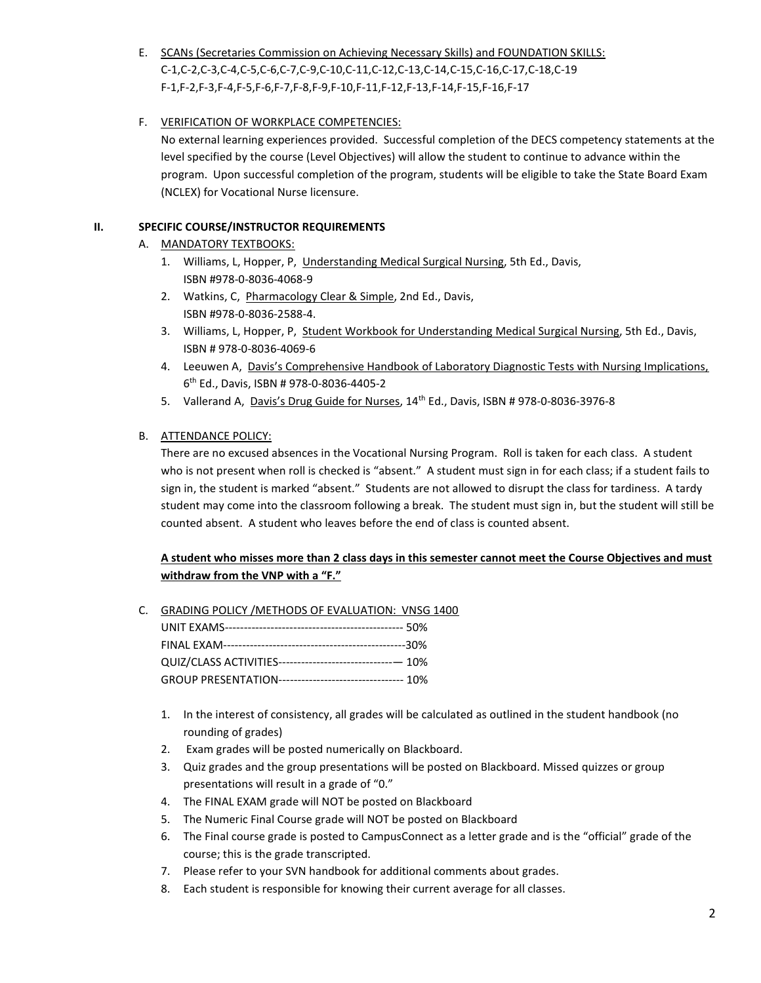# E. SCANs (Secretaries Commission on Achieving Necessary Skills) and FOUNDATION SKILLS: C-1,C-2,C-3,C-4,C-5,C-6,C-7,C-9,C-10,C-11,C-12,C-13,C-14,C-15,C-16,C-17,C-18,C-19 F-1,F-2,F-3,F-4,F-5,F-6,F-7,F-8,F-9,F-10,F-11,F-12,F-13,F-14,F-15,F-16,F-17

# F. VERIFICATION OF WORKPLACE COMPETENCIES:

No external learning experiences provided. Successful completion of the DECS competency statements at the level specified by the course (Level Objectives) will allow the student to continue to advance within the program. Upon successful completion of the program, students will be eligible to take the State Board Exam (NCLEX) for Vocational Nurse licensure.

# II. SPECIFIC COURSE/INSTRUCTOR REQUIREMENTS

- A. MANDATORY TEXTBOOKS:
	- 1. Williams, L, Hopper, P, Understanding Medical Surgical Nursing, 5th Ed., Davis, ISBN #978-0-8036-4068-9
	- 2. Watkins, C, Pharmacology Clear & Simple, 2nd Ed., Davis, ISBN #978-0-8036-2588-4.
	- 3. Williams, L, Hopper, P, Student Workbook for Understanding Medical Surgical Nursing, 5th Ed., Davis, ISBN # 978-0-8036-4069-6
	- 4. Leeuwen A, Davis's Comprehensive Handbook of Laboratory Diagnostic Tests with Nursing Implications, 6 th Ed., Davis, ISBN # 978-0-8036-4405-2
	- 5. Vallerand A, Davis's Drug Guide for Nurses, 14th Ed., Davis, ISBN # 978-0-8036-3976-8

### B. ATTENDANCE POLICY:

There are no excused absences in the Vocational Nursing Program. Roll is taken for each class. A student who is not present when roll is checked is "absent." A student must sign in for each class; if a student fails to sign in, the student is marked "absent." Students are not allowed to disrupt the class for tardiness. A tardy student may come into the classroom following a break. The student must sign in, but the student will still be counted absent. A student who leaves before the end of class is counted absent.

# A student who misses more than 2 class days in this semester cannot meet the Course Objectives and must withdraw from the VNP with a "F."

C. GRADING POLICY /METHODS OF EVALUATION: VNSG 1400

| QUIZ/CLASS ACTIVITIES-------------------------------- 10% |
|-----------------------------------------------------------|
| GROUP PRESENTATION--------------------------------- 10%   |

- 1. In the interest of consistency, all grades will be calculated as outlined in the student handbook (no rounding of grades)
- 2. Exam grades will be posted numerically on Blackboard.
- 3. Quiz grades and the group presentations will be posted on Blackboard. Missed quizzes or group presentations will result in a grade of "0."
- 4. The FINAL EXAM grade will NOT be posted on Blackboard
- 5. The Numeric Final Course grade will NOT be posted on Blackboard
- 6. The Final course grade is posted to CampusConnect as a letter grade and is the "official" grade of the course; this is the grade transcripted.
- 7. Please refer to your SVN handbook for additional comments about grades.
- 8. Each student is responsible for knowing their current average for all classes.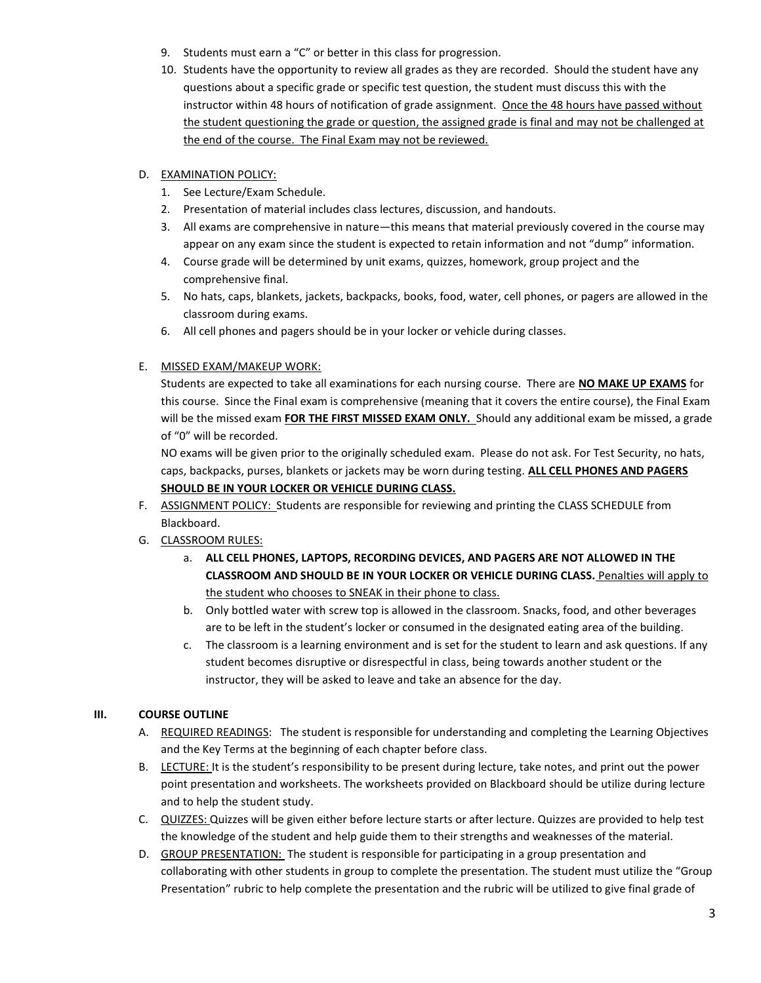- 9. Students must earn a "C" or better in this class for progression.
- 10. Students have the opportunity to review all grades as they are recorded. Should the student have any questions about a specific grade or specific test question, the student must discuss this with the instructor within 48 hours of notification of grade assignment. Once the 48 hours have passed without the student questioning the grade or question, the assigned grade is final and may not be challenged at the end of the course. The Final Exam may not be reviewed.

### D. EXAMINATION POLICY:

- 1. See Lecture/Exam Schedule.
- 2. Presentation of material includes class lectures, discussion, and handouts.
- 3. All exams are comprehensive in nature—this means that material previously covered in the course may appear on any exam since the student is expected to retain information and not "dump" information.
- 4. Course grade will be determined by unit exams, quizzes, homework, group project and the comprehensive final.
- 5. No hats, caps, blankets, jackets, backpacks, books, food, water, cell phones, or pagers are allowed in the classroom during exams.
- 6. All cell phones and pagers should be in your locker or vehicle during classes.

### E. MISSED EXAM/MAKEUP WORK:

Students are expected to take all examinations for each nursing course. There are NO MAKE UP EXAMS for this course. Since the Final exam is comprehensive (meaning that it covers the entire course), the Final Exam will be the missed exam FOR THE FIRST MISSED EXAM ONLY. Should any additional exam be missed, a grade of "0" will be recorded.

NO exams will be given prior to the originally scheduled exam. Please do not ask. For Test Security, no hats, caps, backpacks, purses, blankets or jackets may be worn during testing. ALL CELL PHONES AND PAGERS SHOULD BE IN YOUR LOCKER OR VEHICLE DURING CLASS.

- F. ASSIGNMENT POLICY: Students are responsible for reviewing and printing the CLASS SCHEDULE from Blackboard.
- G. CLASSROOM RULES:
	- a. ALL CELL PHONES, LAPTOPS, RECORDING DEVICES, AND PAGERS ARE NOT ALLOWED IN THE CLASSROOM AND SHOULD BE IN YOUR LOCKER OR VEHICLE DURING CLASS. Penalties will apply to the student who chooses to SNEAK in their phone to class.
	- b. Only bottled water with screw top is allowed in the classroom. Snacks, food, and other beverages are to be left in the student's locker or consumed in the designated eating area of the building.
	- c. The classroom is a learning environment and is set for the student to learn and ask questions. If any student becomes disruptive or disrespectful in class, being towards another student or the instructor, they will be asked to leave and take an absence for the day.

### III. COURSE OUTLINE

- A. REQUIRED READINGS: The student is responsible for understanding and completing the Learning Objectives and the Key Terms at the beginning of each chapter before class.
- B. LECTURE: It is the student's responsibility to be present during lecture, take notes, and print out the power point presentation and worksheets. The worksheets provided on Blackboard should be utilize during lecture and to help the student study.
- C. QUIZZES: Quizzes will be given either before lecture starts or after lecture. Quizzes are provided to help test the knowledge of the student and help guide them to their strengths and weaknesses of the material.
- D. GROUP PRESENTATION: The student is responsible for participating in a group presentation and collaborating with other students in group to complete the presentation. The student must utilize the "Group Presentation" rubric to help complete the presentation and the rubric will be utilized to give final grade of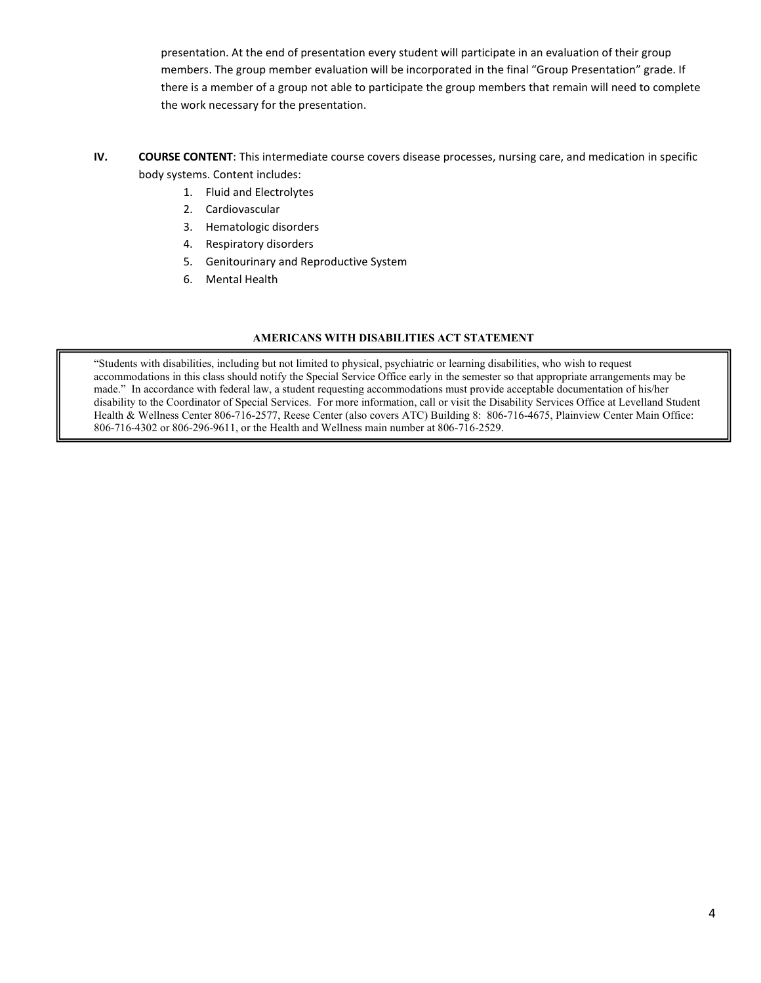presentation. At the end of presentation every student will participate in an evaluation of their group members. The group member evaluation will be incorporated in the final "Group Presentation" grade. If there is a member of a group not able to participate the group members that remain will need to complete the work necessary for the presentation.

- IV. COURSE CONTENT: This intermediate course covers disease processes, nursing care, and medication in specific body systems. Content includes:
	- 1. Fluid and Electrolytes
	- 2. Cardiovascular
	- 3. Hematologic disorders
	- 4. Respiratory disorders
	- 5. Genitourinary and Reproductive System
	- 6. Mental Health

### AMERICANS WITH DISABILITIES ACT STATEMENT

"Students with disabilities, including but not limited to physical, psychiatric or learning disabilities, who wish to request accommodations in this class should notify the Special Service Office early in the semester so that appropriate arrangements may be made." In accordance with federal law, a student requesting accommodations must provide acceptable documentation of his/her disability to the Coordinator of Special Services. For more information, call or visit the Disability Services Office at Levelland Student Health & Wellness Center 806-716-2577, Reese Center (also covers ATC) Building 8: 806-716-4675, Plainview Center Main Office: 806-716-4302 or 806-296-9611, or the Health and Wellness main number at 806-716-2529.